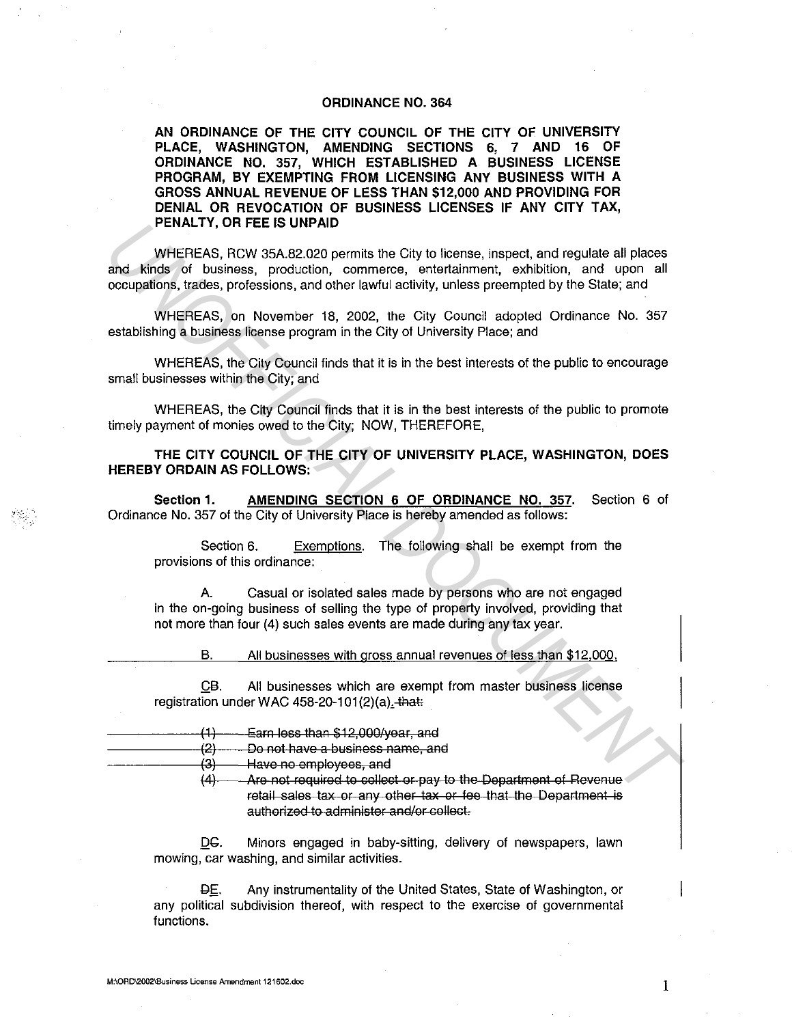## **ORDINANCE NO. 364**

**AN ORDINANCE OF THE CITY COUNCIL OF THE CITY OF UNIVERSITY PLACE, WASHINGTON, AMENDING SECTIONS 6, 7 AND 16 OF ORDINANCE NO. 357, WHICH ESTABLISHED A BUSINESS LICENSE PROGRAM, BY EXEMPTING FROM LICENSING ANY BUSINESS WITH A GROSS ANNUAL REVENUE OF LESS THAN \$12,000 AND PROVIDING FOR DENIAL OR REVOCATION OF BUSINESS LICENSES IF ANY CITY TAX, PENALTY, OR FEE IS UNPAID** 

WHEREAS, RCW 35A.82.020 permits the City to license, inspect, and regulate all places and kinds of business, production, commerce, entertainment, exhibition, and upon all occupations, trades, professions, and other lawful activity, unless preempted by the State; and **PENALTY, UNTEETS UNPAID**<br>
WHEREAS, RCW 35A.82.020 permits the City to license, emerget, and regulate all places<br>
and Kinds of business, production, commerce, emertatiment, exhibition, and upon all<br>
occupations, trades, pr

WHEREAS, on November 18, 2002, the City Council adopted Ordinance No. 357 establishing a business license program in the City of University Place; and

WHEREAS, the City Council finds that it is in the best interests of the public to encourage small businesses within the City; and

WHEREAS, the City Council finds that it is in the best interests of the public to promote timely payment of monies owed to the City; NOW, THEREFORE,

**THE CITY COUNCIL OF THE CITY OF UNIVERSITY PLACE, WASHINGTON, DOES HEREBY ORDAIN AS FOLLOWS:** 

**Section 1. AMENDING SECTION 6 OF ORDINANCE NO. 357.** Section 6 of Ordinance No. 357 of the City of University Place is hereby amended as follows:

Section 6. Exemptions. The following shall be exempt from the provisions of this ordinance:

A. Casual or isolated sales made by persons who are not engaged in the on-going business of selling the type of property involved, providing that not more than four (4) such sales events are made during any tax year.

B. All businesses with gross annual revenues of less than \$12.000.

QB. All businesses which are exempt from master business license registration under WAC 458-20-101 $(2)(a)$ . that:

- $(1)$  Earn less than \$12,000/year, and (2) Do not have a business name, and
	- (3) Have no employees, and
		- $(4)$  Are not required to collect or pay to the Department of Revenue retail sales tax or any other tax or fee that the Department is authorized to administer and/or collect.

DC. Minors engaged in baby-sitting, delivery of newspapers, lawn mowing, car washing, and similar activities.

Qf. Any instrumentality of the United States, State of Washington, or any political subdivision thereof, with respect to the exercise of governmental functions.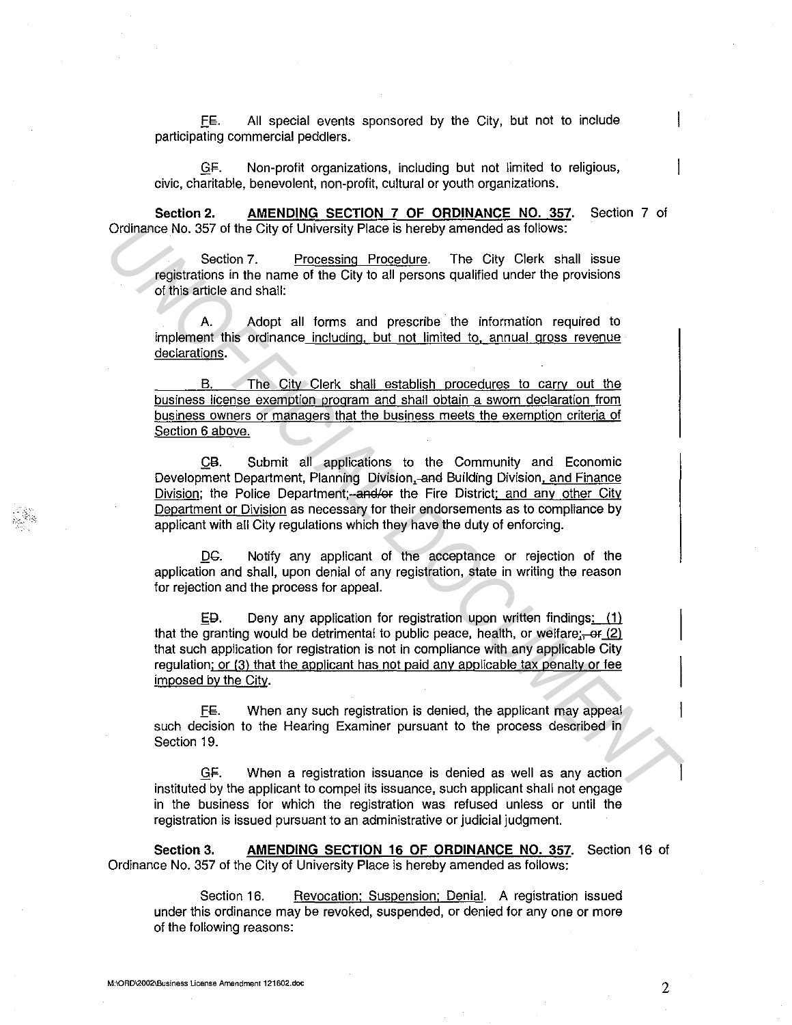E€. All special events sponsored by the City, but not to include participating commercial peddlers.

\_Qi;. Non-profit organizations, including but not limited to religious, civic, charitable, benevolent, non-profit, cultural or youth organizations.

**Section 2. AMENDING SECTION 7 OF ORDINANCE NO. 357.** Section 7 of Ordinance No. 357 of the City of University Place is hereby amended as follows:

Section 7. Processing Procedure. The City Clerk shall issue registrations in the name of the City to all persons qualified under the provisions of this article and shall:

A. Adopt all forms and prescribe the information required to implement this ordinance including, but not limited to, annual gross revenue declarations.

B. The City Clerk shall establish procedures to carry out the business license exemption program and shall obtain a sworn declaration from business owners or managers that the business meets the exemption criteria of Section 6 above.

CB. Submit all applications to the Community and Economic Development Department, Planning Division,-and Building Division, and Finance Division; the Police Department; and/or the Fire District; and any other City Department or Division as necessary for their endorsements as to compliance by applicant with all City regulations which they have the duty of enforcing. Ordinance No. 357 of the City of University Place is hereby amended as follows:<br>
Section 7: <u>Processing Procedure</u><br> **Section in the name of the City of all drems and prescribe the provisions**<br>
of this article and shall:<br>

DC. Notify any applicant of the acceptance or rejection of the application and shall, upon denial of any registration, state in writing the reason for rejection and the process for appeal.

 $E$ Deny any application for registration upon written findings:  $(1)$ that the granting would be detrimental to public peace, health, or welfare; $\frac{1}{2}$ that such application for registration is not in compliance with any applicable City regulation; or (3) that the applicant has not paid any applicable tax penalty or fee imposed by the City.

E€. When any such registration is denied, the applicant may appeal such decision to the Hearing Examiner pursuant to the process described in Section 19.

GF. When a registration issuance is denied as well as any action instituted by the applicant to compel its issuance, such applicant shall not engage in the business for which the registration was refused unless or until the registration is issued pursuant to an administrative or judicial judgment.

**Section 3. AMENDING SECTION 16 OF ORDINANCE NO. 357.** Section 16 of Ordinance No. 357 of the City of University Place is hereby amended as follows:

Section 16. Revocation; Suspension; Denial. A registration issued under this ordinance may be revoked, suspended, or denied for any one or more of the following reasons: